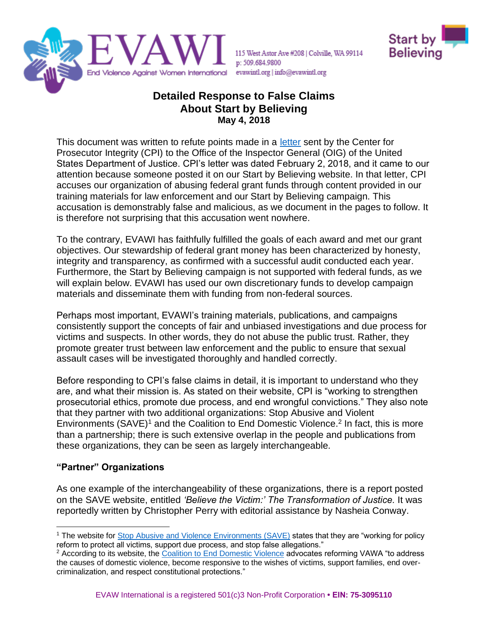

115 West Astor Ave #208 | Colville, WA 99114 p: 509.684.9800 evawintl.org | info@evawintl.org



# **Detailed Response to False Claims About Start by Believing May 4, 2018**

This document was written to refute points made in a [letter](http://www.evawintl.org/images/uploads/private/CPI%20Complaint%20to%20OIG%2001.01.18.pdf) sent by the Center for Prosecutor Integrity (CPI) to the Office of the Inspector General (OIG) of the United States Department of Justice. CPI's letter was dated February 2, 2018, and it came to our attention because someone posted it on our Start by Believing website. In that letter, CPI accuses our organization of abusing federal grant funds through content provided in our training materials for law enforcement and our Start by Believing campaign. This accusation is demonstrably false and malicious, as we document in the pages to follow. It is therefore not surprising that this accusation went nowhere.

To the contrary, EVAWI has faithfully fulfilled the goals of each award and met our grant objectives. Our stewardship of federal grant money has been characterized by honesty, integrity and transparency, as confirmed with a successful audit conducted each year. Furthermore, the Start by Believing campaign is not supported with federal funds, as we will explain below. EVAWI has used our own discretionary funds to develop campaign materials and disseminate them with funding from non-federal sources.

Perhaps most important, EVAWI's training materials, publications, and campaigns consistently support the concepts of fair and unbiased investigations and due process for victims and suspects. In other words, they do not abuse the public trust. Rather, they promote greater trust between law enforcement and the public to ensure that sexual assault cases will be investigated thoroughly and handled correctly.

Before responding to CPI's false claims in detail, it is important to understand who they are, and what their mission is. As stated on their website, CPI is "working to strengthen prosecutorial ethics, promote due process, and end wrongful convictions." They also note that they partner with two additional organizations: Stop Abusive and Violent Environments (SAVE)<sup>1</sup> and the Coalition to End Domestic Violence.<sup>2</sup> In fact, this is more than a partnership; there is such extensive overlap in the people and publications from these organizations, they can be seen as largely interchangeable.

## **"Partner" Organizations**

As one example of the interchangeability of these organizations, there is a report posted on the SAVE website, entitled *'Believe the Victim:' The Transformation of Justice.* It was reportedly written by Christopher Perry with editorial assistance by Nasheia Conway.

<sup>&</sup>lt;sup>1</sup> The website for [Stop Abusive and Violence Environments \(SAVE\)](http://www.saveservices.org/) states that they are "working for policy reform to protect all victims, support due process, and stop false allegations."

<sup>&</sup>lt;sup>2</sup> According to its website, th[e Coalition to End Domestic Violence](http://www.endtodv.org/) advocates reforming VAWA "to address" the causes of domestic violence, become responsive to the wishes of victims, support families, end overcriminalization, and respect constitutional protections."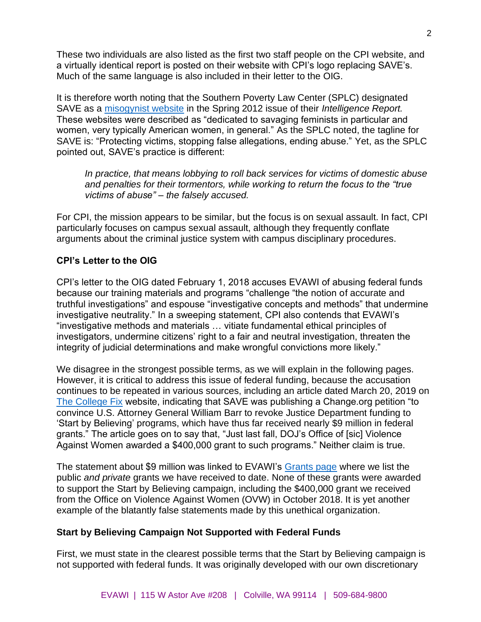These two individuals are also listed as the first two staff people on the CPI website, and a virtually identical report is posted on their website with CPI's logo replacing SAVE's. Much of the same language is also included in their letter to the OIG.

It is therefore worth noting that the Southern Poverty Law Center (SPLC) designated SAVE as a [misogynist website](https://www.splcenter.org/fighting-hate/intelligence-report/2012/misogyny-sites) in the Spring 2012 issue of their *Intelligence Report.* These websites were described as "dedicated to savaging feminists in particular and women, very typically American women, in general." As the SPLC noted, the tagline for SAVE is: "Protecting victims, stopping false allegations, ending abuse." Yet, as the SPLC pointed out, SAVE's practice is different:

*In practice, that means lobbying to roll back services for victims of domestic abuse and penalties for their tormentors, while working to return the focus to the "true victims of abuse" – the falsely accused.*

For CPI, the mission appears to be similar, but the focus is on sexual assault. In fact, CPI particularly focuses on campus sexual assault, although they frequently conflate arguments about the criminal justice system with campus disciplinary procedures.

## **CPI's Letter to the OIG**

CPI's letter to the OIG dated February 1, 2018 accuses EVAWI of abusing federal funds because our training materials and programs "challenge "the notion of accurate and truthful investigations" and espouse "investigative concepts and methods" that undermine investigative neutrality." In a sweeping statement, CPI also contends that EVAWI's "investigative methods and materials … vitiate fundamental ethical principles of investigators, undermine citizens' right to a fair and neutral investigation, threaten the integrity of judicial determinations and make wrongful convictions more likely."

We disagree in the strongest possible terms, as we will explain in the following pages. However, it is critical to address this issue of federal funding, because the accusation continues to be repeated in various sources, including an article dated March 20, 2019 on [The College Fix](https://www.thecollegefix.com/due-process-group-kicks-off-campaign-to-expose-flaws-of-start-by-believing/) website, indicating that SAVE was publishing a Change.org petition "to convince U.S. Attorney General William Barr to revoke Justice Department funding to 'Start by Believing' programs, which have thus far received nearly \$9 million in federal grants." The article goes on to say that, "Just last fall, DOJ's Office of [sic] Violence Against Women awarded a \$400,000 grant to such programs." Neither claim is true.

The statement about \$9 million was linked to EVAWI's [Grants page](https://www.evawintl.org/grants.aspx) where we list the public *and private* grants we have received to date. None of these grants were awarded to support the Start by Believing campaign, including the \$400,000 grant we received from the Office on Violence Against Women (OVW) in October 2018. It is yet another example of the blatantly false statements made by this unethical organization.

### **Start by Believing Campaign Not Supported with Federal Funds**

First, we must state in the clearest possible terms that the Start by Believing campaign is not supported with federal funds. It was originally developed with our own discretionary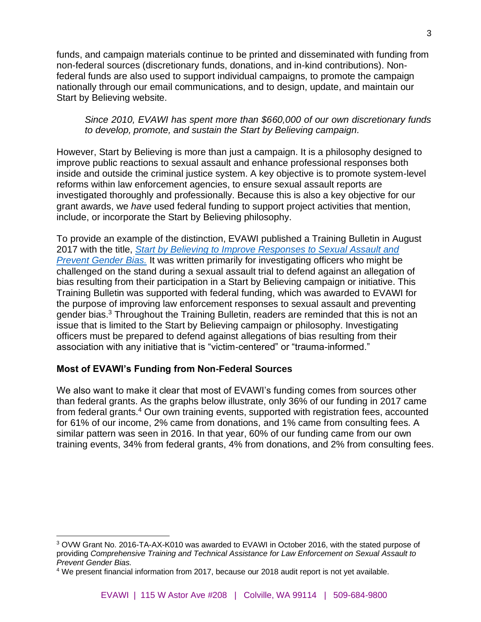funds, and campaign materials continue to be printed and disseminated with funding from non-federal sources (discretionary funds, donations, and in-kind contributions). Nonfederal funds are also used to support individual campaigns, to promote the campaign nationally through our email communications, and to design, update, and maintain our Start by Believing website.

*Since 2010, EVAWI has spent more than \$660,000 of our own discretionary funds to develop, promote, and sustain the Start by Believing campaign.*

However, Start by Believing is more than just a campaign. It is a philosophy designed to improve public reactions to sexual assault and enhance professional responses both inside and outside the criminal justice system. A key objective is to promote system-level reforms within law enforcement agencies, to ensure sexual assault reports are investigated thoroughly and professionally. Because this is also a key objective for our grant awards, we *have* used federal funding to support project activities that mention, include, or incorporate the Start by Believing philosophy.

To provide an example of the distinction, EVAWI published a Training Bulletin in August 2017 with the title, *[Start by Believing to Improve Responses to Sexual Assault and](http://www.evawintl.org/Library/DocumentLibraryHandler.ashx?id=919)  [Prevent Gender Bias.](http://www.evawintl.org/Library/DocumentLibraryHandler.ashx?id=919)* It was written primarily for investigating officers who might be challenged on the stand during a sexual assault trial to defend against an allegation of bias resulting from their participation in a Start by Believing campaign or initiative. This Training Bulletin was supported with federal funding, which was awarded to EVAWI for the purpose of improving law enforcement responses to sexual assault and preventing gender bias.<sup>3</sup> Throughout the Training Bulletin, readers are reminded that this is not an issue that is limited to the Start by Believing campaign or philosophy. Investigating officers must be prepared to defend against allegations of bias resulting from their association with any initiative that is "victim-centered" or "trauma-informed."

### **Most of EVAWI's Funding from Non-Federal Sources**

We also want to make it clear that most of EVAWI's funding comes from sources other than federal grants. As the graphs below illustrate, only 36% of our funding in 2017 came from federal grants.<sup>4</sup> Our own training events, supported with registration fees, accounted for 61% of our income, 2% came from donations, and 1% came from consulting fees. A similar pattern was seen in 2016. In that year, 60% of our funding came from our own training events, 34% from federal grants, 4% from donations, and 2% from consulting fees.

<sup>3</sup> OVW Grant No. 2016-TA-AX-K010 was awarded to EVAWI in October 2016, with the stated purpose of providing *Comprehensive Training and Technical Assistance for Law Enforcement on Sexual Assault to Prevent Gender Bias.* 

<sup>4</sup> We present financial information from 2017, because our 2018 audit report is not yet available.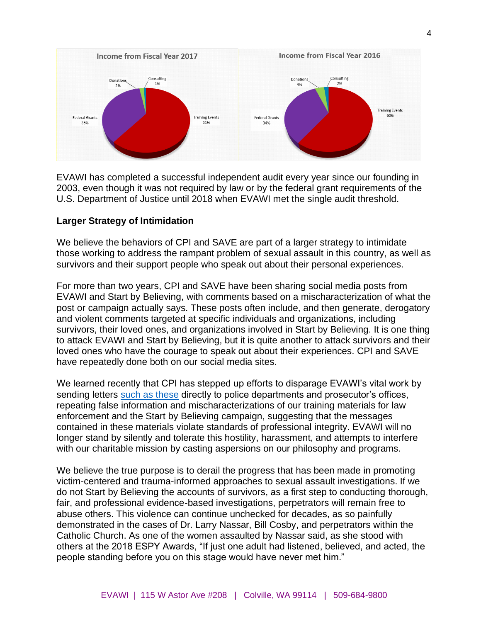

EVAWI has completed a successful independent audit every year since our founding in 2003, even though it was not required by law or by the federal grant requirements of the U.S. Department of Justice until 2018 when EVAWI met the single audit threshold.

#### **Larger Strategy of Intimidation**

We believe the behaviors of CPI and SAVE are part of a larger strategy to intimidate those working to address the rampant problem of sexual assault in this country, as well as survivors and their support people who speak out about their personal experiences.

For more than two years, CPI and SAVE have been sharing social media posts from EVAWI and Start by Believing, with comments based on a mischaracterization of what the post or campaign actually says. These posts often include, and then generate, derogatory and violent comments targeted at specific individuals and organizations, including survivors, their loved ones, and organizations involved in Start by Believing. It is one thing to attack EVAWI and Start by Believing, but it is quite another to attack survivors and their loved ones who have the courage to speak out about their experiences. CPI and SAVE have repeatedly done both on our social media sites.

We learned recently that CPI has stepped up efforts to disparage EVAWI's vital work by sending letters [such as these](https://www.evawintl.org/images/uploads/SBB/Redacted%20CPI%20Letters%20-%20Combined.pdf) directly to police departments and prosecutor's offices, repeating false information and mischaracterizations of our training materials for law enforcement and the Start by Believing campaign, suggesting that the messages contained in these materials violate standards of professional integrity. EVAWI will no longer stand by silently and tolerate this hostility, harassment, and attempts to interfere with our charitable mission by casting aspersions on our philosophy and programs.

We believe the true purpose is to derail the progress that has been made in promoting victim-centered and trauma-informed approaches to sexual assault investigations. If we do not Start by Believing the accounts of survivors, as a first step to conducting thorough, fair, and professional evidence-based investigations, perpetrators will remain free to abuse others. This violence can continue unchecked for decades, as so painfully demonstrated in the cases of Dr. Larry Nassar, Bill Cosby, and perpetrators within the Catholic Church. As one of the women assaulted by Nassar said, as she stood with others at the 2018 ESPY Awards, "If just one adult had listened, believed, and acted, the people standing before you on this stage would have never met him."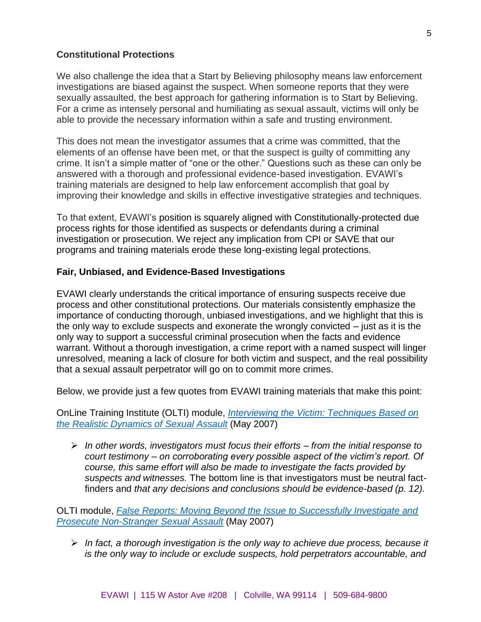#### **Constitutional Protections**

We also challenge the idea that a Start by Believing philosophy means law enforcement investigations are biased against the suspect. When someone reports that they were sexually assaulted, the best approach for gathering information is to Start by Believing. For a crime as intensely personal and humiliating as sexual assault, victims will only be able to provide the necessary information within a safe and trusting environment.

This does not mean the investigator assumes that a crime was committed, that the elements of an offense have been met, or that the suspect is guilty of committing any crime. It isn't a simple matter of "one or the other." Questions such as these can only be answered with a thorough and professional evidence-based investigation. EVAWI's training materials are designed to help law enforcement accomplish that goal by improving their knowledge and skills in effective investigative strategies and techniques.

To that extent, EVAWI's position is squarely aligned with Constitutionally-protected due process rights for those identified as suspects or defendants during a criminal investigation or prosecution. We reject any implication from CPI or SAVE that our programs and training materials erode these long-existing legal protections.

#### **Fair, Unbiased, and Evidence-Based Investigations**

EVAWI clearly understands the critical importance of ensuring suspects receive due process and other constitutional protections. Our materials consistently emphasize the importance of conducting thorough, unbiased investigations, and we highlight that this is the only way to exclude suspects and exonerate the wrongly convicted – just as it is the only way to support a successful criminal prosecution when the facts and evidence warrant. Without a thorough investigation, a crime report with a named suspect will linger unresolved, meaning a lack of closure for both victim and suspect, and the real possibility that a sexual assault perpetrator will go on to commit more crimes.

Below, we provide just a few quotes from EVAWI training materials that make this point:

OnLine Training Institute (OLTI) module, *[Interviewing the Victim: Techniques Based on](http://www.evawintl.org/Library/DocumentLibraryHandler.ashx?id=657)  [the Realistic Dynamics of Sexual Assault](http://www.evawintl.org/Library/DocumentLibraryHandler.ashx?id=657)* (May 2007)

➢ *In other words, investigators must focus their efforts – from the initial response to court testimony – on corroborating every possible aspect of the victim's report. Of course, this same effort will also be made to investigate the facts provided by suspects and witnesses.* The bottom line is that investigators must be neutral factfinders and *that any decisions and conclusions should be evidence-based (p. 12).*

OLTI module, *False Reports: [Moving Beyond the Issue to Successfully Investigate and](http://www.evawintl.org/Library/DocumentLibraryHandler.ashx?id=38)  [Prosecute Non-Stranger Sexual Assault](http://www.evawintl.org/Library/DocumentLibraryHandler.ashx?id=38)* (May 2007)

➢ *In fact, a thorough investigation is the only way to achieve due process, because it is the only way to include or exclude suspects, hold perpetrators accountable, and*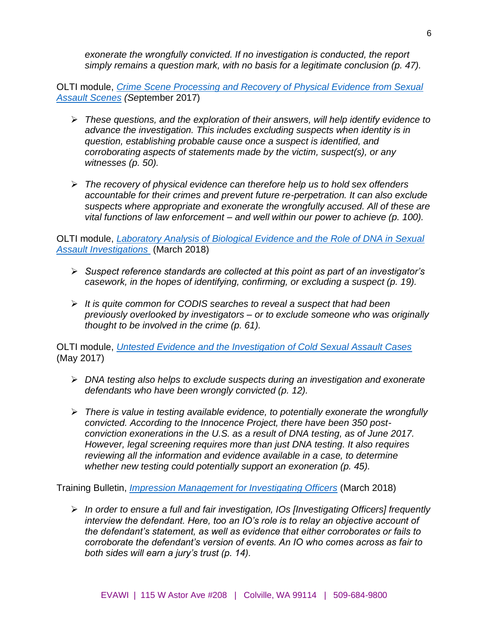*exonerate the wrongfully convicted. If no investigation is conducted, the report simply remains a question mark, with no basis for a legitimate conclusion (p. 47).*

OLTI module, *[Crime Scene Processing and Recovery of Physical Evidence from Sexual](http://www.evawintl.org/Library/DocumentLibraryHandler.ashx?id=931)  [Assault Scenes](http://www.evawintl.org/Library/DocumentLibraryHandler.ashx?id=931) (Se*ptember 2017)

- ➢ *These questions, and the exploration of their answers, will help identify evidence to advance the investigation. This includes excluding suspects when identity is in question, establishing probable cause once a suspect is identified, and corroborating aspects of statements made by the victim, suspect(s), or any witnesses (p. 50).*
- ➢ *The recovery of physical evidence can therefore help us to hold sex offenders accountable for their crimes and prevent future re-perpetration. It can also exclude suspects where appropriate and exonerate the wrongfully accused. All of these are vital functions of law enforcement – and well within our power to achieve (p. 100).*

OLTI module, *[Laboratory Analysis of Biological Evidence and the Role of DNA in Sexual](http://www.evawintl.org/Library/DocumentLibraryHandler.ashx?id=695)  [Assault Investigations](http://www.evawintl.org/Library/DocumentLibraryHandler.ashx?id=695)* (March 2018)

- ➢ *Suspect reference standards are collected at this point as part of an investigator's casework, in the hopes of identifying, confirming, or excluding a suspect (p. 19).*
- ➢ *It is quite common for CODIS searches to reveal a suspect that had been previously overlooked by investigators – or to exclude someone who was originally thought to be involved in the crime (p. 61).*

OLTI module, *[Untested Evidence and the Investigation of Cold Sexual Assault Cases](http://www.evawintl.org/Library/DocumentLibraryHandler.ashx?id=900)* (May 2017)

- ➢ *DNA testing also helps to exclude suspects during an investigation and exonerate defendants who have been wrongly convicted (p. 12).*
- ➢ *There is value in testing available evidence, to potentially exonerate the wrongfully convicted. According to the Innocence Project, there have been 350 postconviction exonerations in the U.S. as a result of DNA testing, as of June 2017. However, legal screening requires more than just DNA testing. It also requires reviewing all the information and evidence available in a case, to determine whether new testing could potentially support an exoneration (p. 45).*

Training Bulletin, *[Impression Management for Investigating Officers](http://www.evawintl.org/Library/DocumentLibraryHandler.ashx?id=946)* (March 2018)

➢ *In order to ensure a full and fair investigation, IOs [Investigating Officers] frequently interview the defendant. Here, too an IO's role is to relay an objective account of the defendant's statement, as well as evidence that either corroborates or fails to corroborate the defendant's version of events. An IO who comes across as fair to both sides will earn a jury's trust (p. 14).*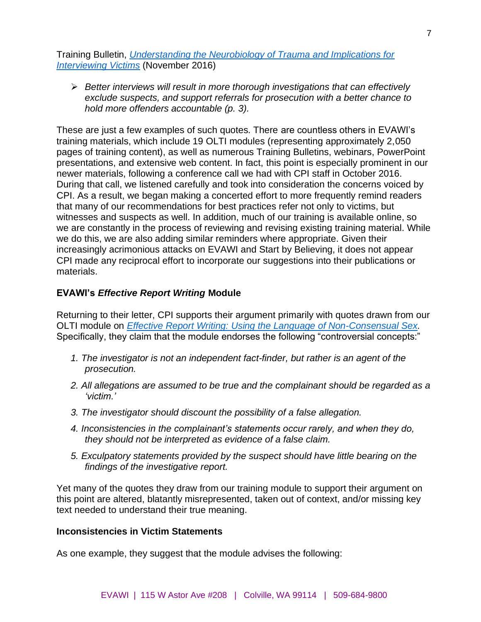Training Bulletin, *[Understanding the Neurobiology of Trauma and Implications for](http://www.evawintl.org/Library/DocumentLibraryHandler.ashx?id=842)  [Interviewing Victims](http://www.evawintl.org/Library/DocumentLibraryHandler.ashx?id=842)* (November 2016)

➢ *Better interviews will result in more thorough investigations that can effectively exclude suspects, and support referrals for prosecution with a better chance to hold more offenders accountable (p. 3).* 

These are just a few examples of such quotes. There are countless others in EVAWI's training materials, which include 19 OLTI modules (representing approximately 2,050 pages of training content), as well as numerous Training Bulletins, webinars, PowerPoint presentations, and extensive web content. In fact, this point is especially prominent in our newer materials, following a conference call we had with CPI staff in October 2016. During that call, we listened carefully and took into consideration the concerns voiced by CPI. As a result, we began making a concerted effort to more frequently remind readers that many of our recommendations for best practices refer not only to victims, but witnesses and suspects as well. In addition, much of our training is available online, so we are constantly in the process of reviewing and revising existing training material. While we do this, we are also adding similar reminders where appropriate. Given their increasingly acrimonious attacks on EVAWI and Start by Believing, it does not appear CPI made any reciprocal effort to incorporate our suggestions into their publications or materials.

## **EVAWI's** *Effective Report Writing* **Module**

Returning to their letter, CPI supports their argument primarily with quotes drawn from our OLTI module on *Effective Report Writing: [Using the Language of Non-Consensual Sex.](http://www.evawintl.org/Library/DocumentLibraryHandler.ashx?id=43)*  Specifically, they claim that the module endorses the following "controversial concepts:"

- *1. The investigator is not an independent fact-finder, but rather is an agent of the prosecution.*
- *2. All allegations are assumed to be true and the complainant should be regarded as a 'victim.'*
- *3. The investigator should discount the possibility of a false allegation.*
- *4. Inconsistencies in the complainant's statements occur rarely, and when they do, they should not be interpreted as evidence of a false claim.*
- *5. Exculpatory statements provided by the suspect should have little bearing on the findings of the investigative report.*

Yet many of the quotes they draw from our training module to support their argument on this point are altered, blatantly misrepresented, taken out of context, and/or missing key text needed to understand their true meaning.

#### **Inconsistencies in Victim Statements**

As one example, they suggest that the module advises the following: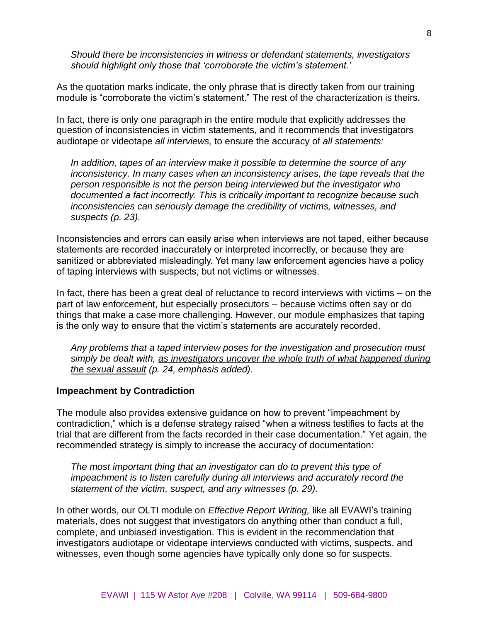*Should there be inconsistencies in witness or defendant statements, investigators should highlight only those that 'corroborate the victim's statement.'*

As the quotation marks indicate, the only phrase that is directly taken from our training module is "corroborate the victim's statement." The rest of the characterization is theirs.

In fact, there is only one paragraph in the entire module that explicitly addresses the question of inconsistencies in victim statements, and it recommends that investigators audiotape or videotape *all interviews,* to ensure the accuracy of *all statements:*

*In addition, tapes of an interview make it possible to determine the source of any inconsistency. In many cases when an inconsistency arises, the tape reveals that the person responsible is not the person being interviewed but the investigator who documented a fact incorrectly. This is critically important to recognize because such inconsistencies can seriously damage the credibility of victims, witnesses, and suspects (p. 23).*

Inconsistencies and errors can easily arise when interviews are not taped, either because statements are recorded inaccurately or interpreted incorrectly, or because they are sanitized or abbreviated misleadingly. Yet many law enforcement agencies have a policy of taping interviews with suspects, but not victims or witnesses.

In fact, there has been a great deal of reluctance to record interviews with victims – on the part of law enforcement, but especially prosecutors – because victims often say or do things that make a case more challenging. However, our module emphasizes that taping is the only way to ensure that the victim's statements are accurately recorded.

*Any problems that a taped interview poses for the investigation and prosecution must simply be dealt with, as investigators uncover the whole truth of what happened during the sexual assault (p. 24, emphasis added).*

#### **Impeachment by Contradiction**

The module also provides extensive guidance on how to prevent "impeachment by contradiction," which is a defense strategy raised "when a witness testifies to facts at the trial that are different from the facts recorded in their case documentation." Yet again, the recommended strategy is simply to increase the accuracy of documentation:

*The most important thing that an investigator can do to prevent this type of impeachment is to listen carefully during all interviews and accurately record the statement of the victim, suspect, and any witnesses (p. 29).*

In other words, our OLTI module on *Effective Report Writing,* like all EVAWI's training materials, does not suggest that investigators do anything other than conduct a full, complete, and unbiased investigation. This is evident in the recommendation that investigators audiotape or videotape interviews conducted with victims, suspects, and witnesses, even though some agencies have typically only done so for suspects.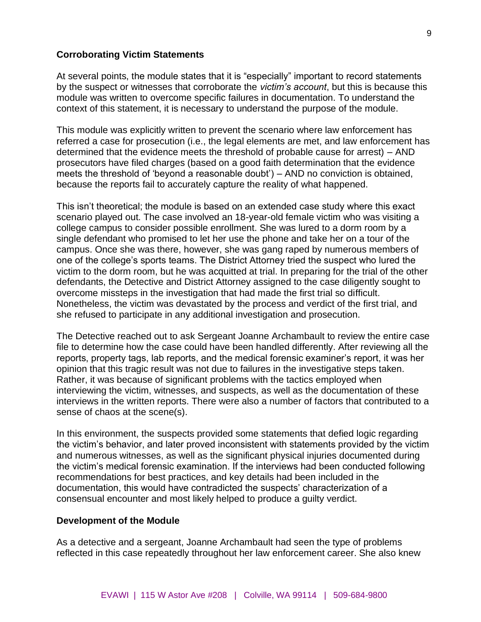#### **Corroborating Victim Statements**

At several points, the module states that it is "especially" important to record statements by the suspect or witnesses that corroborate the *victim's account*, but this is because this module was written to overcome specific failures in documentation. To understand the context of this statement, it is necessary to understand the purpose of the module.

This module was explicitly written to prevent the scenario where law enforcement has referred a case for prosecution (i.e., the legal elements are met, and law enforcement has determined that the evidence meets the threshold of probable cause for arrest) – AND prosecutors have filed charges (based on a good faith determination that the evidence meets the threshold of 'beyond a reasonable doubt') – AND no conviction is obtained, because the reports fail to accurately capture the reality of what happened.

This isn't theoretical; the module is based on an extended case study where this exact scenario played out. The case involved an 18-year-old female victim who was visiting a college campus to consider possible enrollment. She was lured to a dorm room by a single defendant who promised to let her use the phone and take her on a tour of the campus. Once she was there, however, she was gang raped by numerous members of one of the college's sports teams. The District Attorney tried the suspect who lured the victim to the dorm room, but he was acquitted at trial. In preparing for the trial of the other defendants, the Detective and District Attorney assigned to the case diligently sought to overcome missteps in the investigation that had made the first trial so difficult. Nonetheless, the victim was devastated by the process and verdict of the first trial, and she refused to participate in any additional investigation and prosecution.

The Detective reached out to ask Sergeant Joanne Archambault to review the entire case file to determine how the case could have been handled differently. After reviewing all the reports, property tags, lab reports, and the medical forensic examiner's report, it was her opinion that this tragic result was not due to failures in the investigative steps taken. Rather, it was because of significant problems with the tactics employed when interviewing the victim, witnesses, and suspects, as well as the documentation of these interviews in the written reports. There were also a number of factors that contributed to a sense of chaos at the scene(s).

In this environment, the suspects provided some statements that defied logic regarding the victim's behavior, and later proved inconsistent with statements provided by the victim and numerous witnesses, as well as the significant physical injuries documented during the victim's medical forensic examination. If the interviews had been conducted following recommendations for best practices, and key details had been included in the documentation, this would have contradicted the suspects' characterization of a consensual encounter and most likely helped to produce a guilty verdict.

#### **Development of the Module**

As a detective and a sergeant, Joanne Archambault had seen the type of problems reflected in this case repeatedly throughout her law enforcement career. She also knew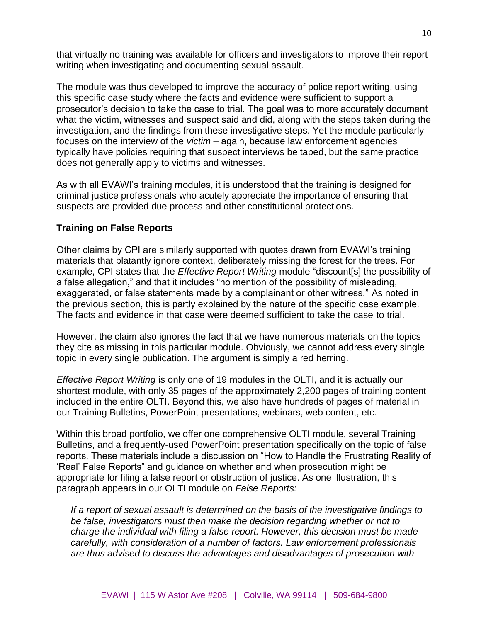that virtually no training was available for officers and investigators to improve their report writing when investigating and documenting sexual assault.

The module was thus developed to improve the accuracy of police report writing, using this specific case study where the facts and evidence were sufficient to support a prosecutor's decision to take the case to trial. The goal was to more accurately document what the victim, witnesses and suspect said and did, along with the steps taken during the investigation, and the findings from these investigative steps. Yet the module particularly focuses on the interview of the *victim* – again, because law enforcement agencies typically have policies requiring that suspect interviews be taped, but the same practice does not generally apply to victims and witnesses.

As with all EVAWI's training modules, it is understood that the training is designed for criminal justice professionals who acutely appreciate the importance of ensuring that suspects are provided due process and other constitutional protections.

### **Training on False Reports**

Other claims by CPI are similarly supported with quotes drawn from EVAWI's training materials that blatantly ignore context, deliberately missing the forest for the trees. For example, CPI states that the *Effective Report Writing* module "discount[s] the possibility of a false allegation," and that it includes "no mention of the possibility of misleading, exaggerated, or false statements made by a complainant or other witness." As noted in the previous section, this is partly explained by the nature of the specific case example. The facts and evidence in that case were deemed sufficient to take the case to trial.

However, the claim also ignores the fact that we have numerous materials on the topics they cite as missing in this particular module. Obviously, we cannot address every single topic in every single publication. The argument is simply a red herring.

*Effective Report Writing* is only one of 19 modules in the OLTI, and it is actually our shortest module, with only 35 pages of the approximately 2,200 pages of training content included in the entire OLTI. Beyond this, we also have hundreds of pages of material in our Training Bulletins, PowerPoint presentations, webinars, web content, etc.

Within this broad portfolio, we offer one comprehensive OLTI module, several Training Bulletins, and a frequently-used PowerPoint presentation specifically on the topic of false reports. These materials include a discussion on "How to Handle the Frustrating Reality of 'Real' False Reports" and guidance on whether and when prosecution might be appropriate for filing a false report or obstruction of justice. As one illustration, this paragraph appears in our OLTI module on *False Reports:*

*If a report of sexual assault is determined on the basis of the investigative findings to be false, investigators must then make the decision regarding whether or not to charge the individual with filing a false report. However, this decision must be made carefully, with consideration of a number of factors. Law enforcement professionals are thus advised to discuss the advantages and disadvantages of prosecution with*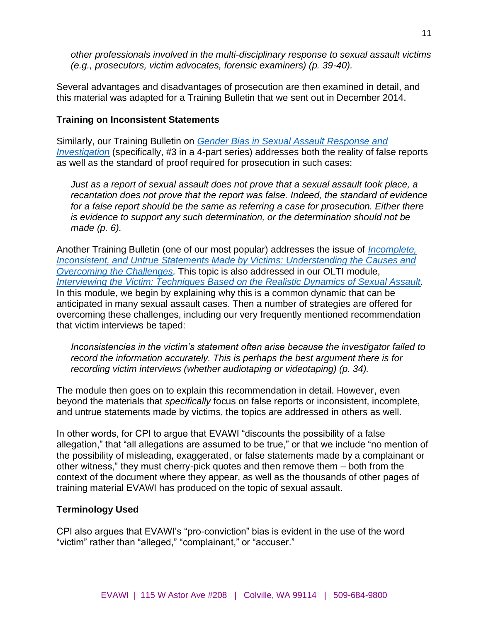*other professionals involved in the multi-disciplinary response to sexual assault victims (e.g., prosecutors, victim advocates, forensic examiners) (p. 39-40).*

Several advantages and disadvantages of prosecution are then examined in detail, and this material was adapted for a Training Bulletin that we sent out in December 2014.

### **Training on Inconsistent Statements**

Similarly, our Training Bulletin on *[Gender Bias in Sexual Assault Response and](https://www.evawintl.org/Library/Documents.aspx?FileType=&CategoryID=527)  [Investigation](https://www.evawintl.org/Library/Documents.aspx?FileType=&CategoryID=527)* (specifically, #3 in a 4-part series) addresses both the reality of false reports as well as the standard of proof required for prosecution in such cases:

*Just as a report of sexual assault does not prove that a sexual assault took place, a recantation does not prove that the report was false. Indeed, the standard of evidence for a false report should be the same as referring a case for prosecution. Either there is evidence to support any such determination, or the determination should not be made (p. 6).*

Another Training Bulletin (one of our most popular) addresses the issue of *[Incomplete,](http://www.evawintl.org/Library/DocumentLibraryHandler.ashx?id=630)  [Inconsistent, and Untrue Statements Made by Victims:](http://www.evawintl.org/Library/DocumentLibraryHandler.ashx?id=630) Understanding the Causes and [Overcoming the Challenges.](http://www.evawintl.org/Library/DocumentLibraryHandler.ashx?id=630)* This topic is also addressed in our OLTI module, *[Interviewing the Victim: Techniques Based on the Realistic Dynamics of Sexual Assault.](http://www.evawintl.org/Library/DocumentLibraryHandler.ashx?id=657)* In this module, we begin by explaining why this is a common dynamic that can be anticipated in many sexual assault cases. Then a number of strategies are offered for overcoming these challenges, including our very frequently mentioned recommendation that victim interviews be taped:

*Inconsistencies in the victim's statement often arise because the investigator failed to record the information accurately. This is perhaps the best argument there is for recording victim interviews (whether audiotaping or videotaping) (p. 34).*

The module then goes on to explain this recommendation in detail. However, even beyond the materials that *specifically* focus on false reports or inconsistent, incomplete, and untrue statements made by victims, the topics are addressed in others as well.

In other words, for CPI to argue that EVAWI "discounts the possibility of a false allegation," that "all allegations are assumed to be true," or that we include "no mention of the possibility of misleading, exaggerated, or false statements made by a complainant or other witness," they must cherry-pick quotes and then remove them – both from the context of the document where they appear, as well as the thousands of other pages of training material EVAWI has produced on the topic of sexual assault.

#### **Terminology Used**

CPI also argues that EVAWI's "pro-conviction" bias is evident in the use of the word "victim" rather than "alleged," "complainant," or "accuser."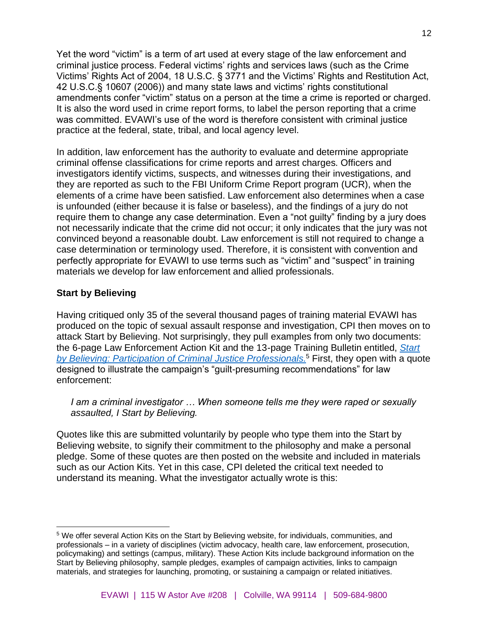Yet the word "victim" is a term of art used at every stage of the law enforcement and criminal justice process. Federal victims' rights and services laws (such as the Crime Victims' Rights Act of 2004, 18 U.S.C. § 3771 and the Victims' Rights and Restitution Act, 42 U.S.C.§ 10607 (2006)) and many state laws and victims' rights constitutional amendments confer "victim" status on a person at the time a crime is reported or charged. It is also the word used in crime report forms, to label the person reporting that a crime was committed. EVAWI's use of the word is therefore consistent with criminal justice practice at the federal, state, tribal, and local agency level.

In addition, law enforcement has the authority to evaluate and determine appropriate criminal offense classifications for crime reports and arrest charges. Officers and investigators identify victims, suspects, and witnesses during their investigations, and they are reported as such to the FBI Uniform Crime Report program (UCR), when the elements of a crime have been satisfied. Law enforcement also determines when a case is unfounded (either because it is false or baseless), and the findings of a jury do not require them to change any case determination. Even a "not guilty" finding by a jury does not necessarily indicate that the crime did not occur; it only indicates that the jury was not convinced beyond a reasonable doubt. Law enforcement is still not required to change a case determination or terminology used. Therefore, it is consistent with convention and perfectly appropriate for EVAWI to use terms such as "victim" and "suspect" in training materials we develop for law enforcement and allied professionals.

## **Start by Believing**

Having critiqued only 35 of the several thousand pages of training material EVAWI has produced on the topic of sexual assault response and investigation, CPI then moves on to attack Start by Believing. Not surprisingly, they pull examples from only two documents: the 6-page Law Enforcement Action Kit and the 13-page Training Bulletin entitled, *[Start](http://www.evawintl.org/Library/DocumentLibraryHandler.ashx?id=789)  by Believing: [Participation of Criminal Justice Professionals.](http://www.evawintl.org/Library/DocumentLibraryHandler.ashx?id=789)* <sup>5</sup> First, they open with a quote designed to illustrate the campaign's "guilt-presuming recommendations" for law enforcement:

### *I am a criminal investigator … When someone tells me they were raped or sexually assaulted, I Start by Believing.*

Quotes like this are submitted voluntarily by people who type them into the Start by Believing website, to signify their commitment to the philosophy and make a personal pledge. Some of these quotes are then posted on the website and included in materials such as our Action Kits. Yet in this case, CPI deleted the critical text needed to understand its meaning. What the investigator actually wrote is this:

<sup>&</sup>lt;sup>5</sup> We offer several Action Kits on the Start by Believing website, for individuals, communities, and professionals – in a variety of disciplines (victim advocacy, health care, law enforcement, prosecution, policymaking) and settings (campus, military). These Action Kits include background information on the Start by Believing philosophy, sample pledges, examples of campaign activities, links to campaign materials, and strategies for launching, promoting, or sustaining a campaign or related initiatives.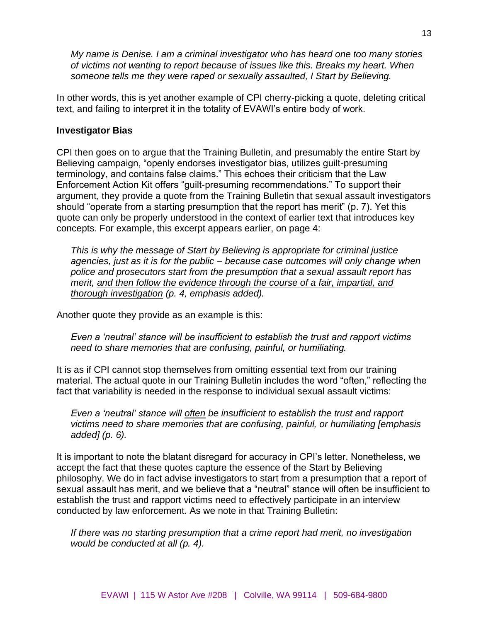*My name is Denise. I am a criminal investigator who has heard one too many stories of victims not wanting to report because of issues like this. Breaks my heart. When someone tells me they were raped or sexually assaulted, I Start by Believing.*

In other words, this is yet another example of CPI cherry-picking a quote, deleting critical text, and failing to interpret it in the totality of EVAWI's entire body of work.

### **Investigator Bias**

CPI then goes on to argue that the Training Bulletin, and presumably the entire Start by Believing campaign, "openly endorses investigator bias, utilizes guilt-presuming terminology, and contains false claims." This echoes their criticism that the Law Enforcement Action Kit offers "guilt-presuming recommendations." To support their argument, they provide a quote from the Training Bulletin that sexual assault investigators should "operate from a starting presumption that the report has merit" (p. 7). Yet this quote can only be properly understood in the context of earlier text that introduces key concepts. For example, this excerpt appears earlier, on page 4:

*This is why the message of Start by Believing is appropriate for criminal justice agencies, just as it is for the public – because case outcomes will only change when police and prosecutors start from the presumption that a sexual assault report has merit, and then follow the evidence through the course of a fair, impartial, and thorough investigation (p. 4, emphasis added).*

Another quote they provide as an example is this:

*Even a 'neutral' stance will be insufficient to establish the trust and rapport victims need to share memories that are confusing, painful, or humiliating.*

It is as if CPI cannot stop themselves from omitting essential text from our training material. The actual quote in our Training Bulletin includes the word "often," reflecting the fact that variability is needed in the response to individual sexual assault victims:

*Even a 'neutral' stance will often be insufficient to establish the trust and rapport victims need to share memories that are confusing, painful, or humiliating [emphasis added] (p. 6).*

It is important to note the blatant disregard for accuracy in CPI's letter. Nonetheless, we accept the fact that these quotes capture the essence of the Start by Believing philosophy. We do in fact advise investigators to start from a presumption that a report of sexual assault has merit, and we believe that a "neutral" stance will often be insufficient to establish the trust and rapport victims need to effectively participate in an interview conducted by law enforcement. As we note in that Training Bulletin:

*If there was no starting presumption that a crime report had merit, no investigation would be conducted at all (p. 4).*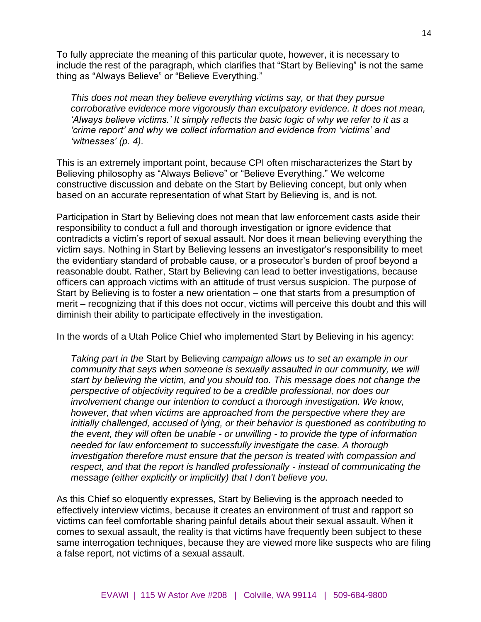To fully appreciate the meaning of this particular quote, however, it is necessary to include the rest of the paragraph, which clarifies that "Start by Believing" is not the same thing as "Always Believe" or "Believe Everything."

*This does not mean they believe everything victims say, or that they pursue corroborative evidence more vigorously than exculpatory evidence. It does not mean, 'Always believe victims.' It simply reflects the basic logic of why we refer to it as a 'crime report' and why we collect information and evidence from 'victims' and 'witnesses' (p. 4).* 

This is an extremely important point, because CPI often mischaracterizes the Start by Believing philosophy as "Always Believe" or "Believe Everything." We welcome constructive discussion and debate on the Start by Believing concept, but only when based on an accurate representation of what Start by Believing is, and is not.

Participation in Start by Believing does not mean that law enforcement casts aside their responsibility to conduct a full and thorough investigation or ignore evidence that contradicts a victim's report of sexual assault. Nor does it mean believing everything the victim says. Nothing in Start by Believing lessens an investigator's responsibility to meet the evidentiary standard of probable cause, or a prosecutor's burden of proof beyond a reasonable doubt. Rather, Start by Believing can lead to better investigations, because officers can approach victims with an attitude of trust versus suspicion. The purpose of Start by Believing is to foster a new orientation – one that starts from a presumption of merit – recognizing that if this does not occur, victims will perceive this doubt and this will diminish their ability to participate effectively in the investigation.

In the words of a Utah Police Chief who implemented Start by Believing in his agency:

*Taking part in the* Start by Believing *campaign allows us to set an example in our community that says when someone is sexually assaulted in our community, we will start by believing the victim, and you should too. This message does not change the perspective of objectivity required to be a credible professional, nor does our involvement change our intention to conduct a thorough investigation. We know, however, that when victims are approached from the perspective where they are initially challenged, accused of lying, or their behavior is questioned as contributing to the event, they will often be unable - or unwilling - to provide the type of information needed for law enforcement to successfully investigate the case. A thorough investigation therefore must ensure that the person is treated with compassion and respect, and that the report is handled professionally - instead of communicating the message (either explicitly or implicitly) that I don't believe you.*

As this Chief so eloquently expresses, Start by Believing is the approach needed to effectively interview victims, because it creates an environment of trust and rapport so victims can feel comfortable sharing painful details about their sexual assault. When it comes to sexual assault, the reality is that victims have frequently been subject to these same interrogation techniques, because they are viewed more like suspects who are filing a false report, not victims of a sexual assault.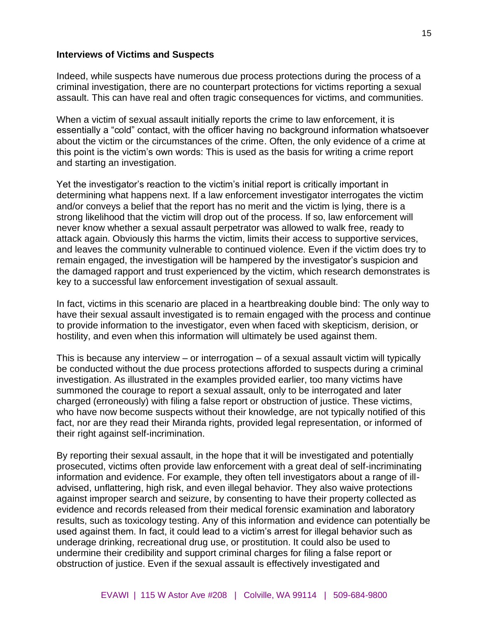#### **Interviews of Victims and Suspects**

Indeed, while suspects have numerous due process protections during the process of a criminal investigation, there are no counterpart protections for victims reporting a sexual assault. This can have real and often tragic consequences for victims, and communities.

When a victim of sexual assault initially reports the crime to law enforcement, it is essentially a "cold" contact, with the officer having no background information whatsoever about the victim or the circumstances of the crime. Often, the only evidence of a crime at this point is the victim's own words: This is used as the basis for writing a crime report and starting an investigation.

Yet the investigator's reaction to the victim's initial report is critically important in determining what happens next. If a law enforcement investigator interrogates the victim and/or conveys a belief that the report has no merit and the victim is lying, there is a strong likelihood that the victim will drop out of the process. If so, law enforcement will never know whether a sexual assault perpetrator was allowed to walk free, ready to attack again. Obviously this harms the victim, limits their access to supportive services, and leaves the community vulnerable to continued violence. Even if the victim does try to remain engaged, the investigation will be hampered by the investigator's suspicion and the damaged rapport and trust experienced by the victim, which research demonstrates is key to a successful law enforcement investigation of sexual assault.

In fact, victims in this scenario are placed in a heartbreaking double bind: The only way to have their sexual assault investigated is to remain engaged with the process and continue to provide information to the investigator, even when faced with skepticism, derision, or hostility, and even when this information will ultimately be used against them.

This is because any interview – or interrogation – of a sexual assault victim will typically be conducted without the due process protections afforded to suspects during a criminal investigation. As illustrated in the examples provided earlier, too many victims have summoned the courage to report a sexual assault, only to be interrogated and later charged (erroneously) with filing a false report or obstruction of justice. These victims, who have now become suspects without their knowledge, are not typically notified of this fact, nor are they read their Miranda rights, provided legal representation, or informed of their right against self-incrimination.

By reporting their sexual assault, in the hope that it will be investigated and potentially prosecuted, victims often provide law enforcement with a great deal of self-incriminating information and evidence. For example, they often tell investigators about a range of illadvised, unflattering, high risk, and even illegal behavior. They also waive protections against improper search and seizure, by consenting to have their property collected as evidence and records released from their medical forensic examination and laboratory results, such as toxicology testing. Any of this information and evidence can potentially be used against them. In fact, it could lead to a victim's arrest for illegal behavior such as underage drinking, recreational drug use, or prostitution. It could also be used to undermine their credibility and support criminal charges for filing a false report or obstruction of justice. Even if the sexual assault is effectively investigated and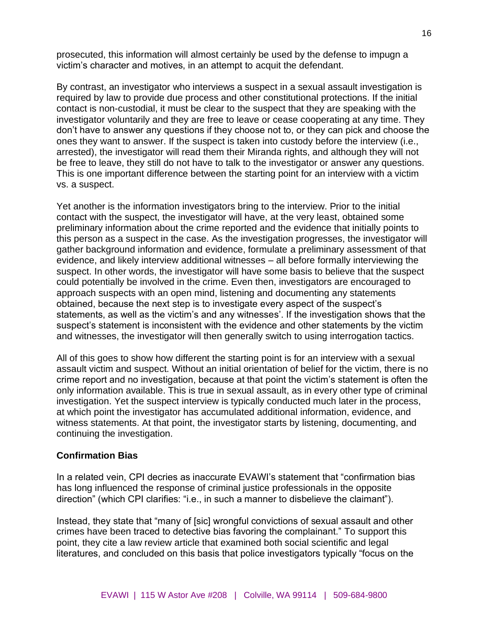prosecuted, this information will almost certainly be used by the defense to impugn a victim's character and motives, in an attempt to acquit the defendant.

By contrast, an investigator who interviews a suspect in a sexual assault investigation is required by law to provide due process and other constitutional protections. If the initial contact is non-custodial, it must be clear to the suspect that they are speaking with the investigator voluntarily and they are free to leave or cease cooperating at any time. They don't have to answer any questions if they choose not to, or they can pick and choose the ones they want to answer. If the suspect is taken into custody before the interview (i.e., arrested), the investigator will read them their Miranda rights, and although they will not be free to leave, they still do not have to talk to the investigator or answer any questions. This is one important difference between the starting point for an interview with a victim vs. a suspect.

Yet another is the information investigators bring to the interview. Prior to the initial contact with the suspect, the investigator will have, at the very least, obtained some preliminary information about the crime reported and the evidence that initially points to this person as a suspect in the case. As the investigation progresses, the investigator will gather background information and evidence, formulate a preliminary assessment of that evidence, and likely interview additional witnesses – all before formally interviewing the suspect. In other words, the investigator will have some basis to believe that the suspect could potentially be involved in the crime. Even then, investigators are encouraged to approach suspects with an open mind, listening and documenting any statements obtained, because the next step is to investigate every aspect of the suspect's statements, as well as the victim's and any witnesses'. If the investigation shows that the suspect's statement is inconsistent with the evidence and other statements by the victim and witnesses, the investigator will then generally switch to using interrogation tactics.

All of this goes to show how different the starting point is for an interview with a sexual assault victim and suspect. Without an initial orientation of belief for the victim, there is no crime report and no investigation, because at that point the victim's statement is often the only information available. This is true in sexual assault, as in every other type of criminal investigation. Yet the suspect interview is typically conducted much later in the process, at which point the investigator has accumulated additional information, evidence, and witness statements. At that point, the investigator starts by listening, documenting, and continuing the investigation.

### **Confirmation Bias**

In a related vein, CPI decries as inaccurate EVAWI's statement that "confirmation bias has long influenced the response of criminal justice professionals in the opposite direction" (which CPI clarifies: "i.e., in such a manner to disbelieve the claimant").

Instead, they state that "many of [sic] wrongful convictions of sexual assault and other crimes have been traced to detective bias favoring the complainant." To support this point, they cite a law review article that examined both social scientific and legal literatures, and concluded on this basis that police investigators typically "focus on the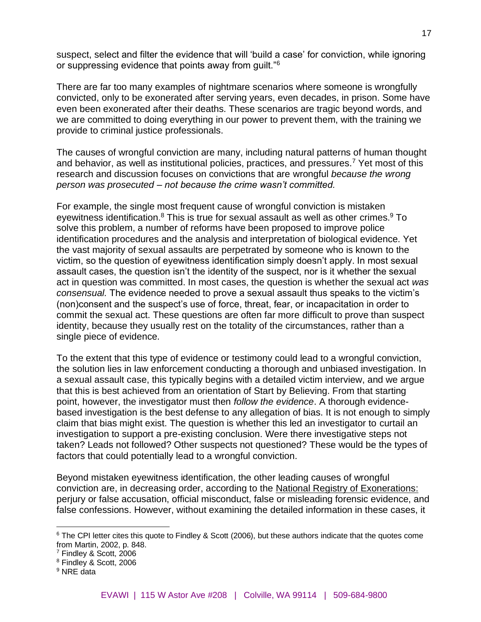suspect, select and filter the evidence that will 'build a case' for conviction, while ignoring or suppressing evidence that points away from guilt."<sup>6</sup>

There are far too many examples of nightmare scenarios where someone is wrongfully convicted, only to be exonerated after serving years, even decades, in prison. Some have even been exonerated after their deaths. These scenarios are tragic beyond words, and we are committed to doing everything in our power to prevent them, with the training we provide to criminal justice professionals.

The causes of wrongful conviction are many, including natural patterns of human thought and behavior, as well as institutional policies, practices, and pressures.<sup>7</sup> Yet most of this research and discussion focuses on convictions that are wrongful *because the wrong person was prosecuted* – *not because the crime wasn't committed.*

For example, the single most frequent cause of wrongful conviction is mistaken eyewitness identification.<sup>8</sup> This is true for sexual assault as well as other crimes.<sup>9</sup> To solve this problem, a number of reforms have been proposed to improve police identification procedures and the analysis and interpretation of biological evidence. Yet the vast majority of sexual assaults are perpetrated by someone who is known to the victim, so the question of eyewitness identification simply doesn't apply. In most sexual assault cases, the question isn't the identity of the suspect, nor is it whether the sexual act in question was committed. In most cases, the question is whether the sexual act *was consensual.* The evidence needed to prove a sexual assault thus speaks to the victim's (non)consent and the suspect's use of force, threat, fear, or incapacitation in order to commit the sexual act. These questions are often far more difficult to prove than suspect identity, because they usually rest on the totality of the circumstances, rather than a single piece of evidence.

To the extent that this type of evidence or testimony could lead to a wrongful conviction, the solution lies in law enforcement conducting a thorough and unbiased investigation. In a sexual assault case, this typically begins with a detailed victim interview, and we argue that this is best achieved from an orientation of Start by Believing. From that starting point, however, the investigator must then *follow the evidence*. A thorough evidencebased investigation is the best defense to any allegation of bias. It is not enough to simply claim that bias might exist. The question is whether this led an investigator to curtail an investigation to support a pre-existing conclusion. Were there investigative steps not taken? Leads not followed? Other suspects not questioned? These would be the types of factors that could potentially lead to a wrongful conviction.

Beyond mistaken eyewitness identification, the other leading causes of wrongful conviction are, in decreasing order, according to the [National Registry of Exonerations:](https://deathpenaltyinfo.org/causes-wrongful-convictions) perjury or false accusation, official misconduct, false or misleading forensic evidence, and false confessions. However, without examining the detailed information in these cases, it

<sup>&</sup>lt;sup>6</sup> The CPI letter cites this quote to Findley & Scott (2006), but these authors indicate that the quotes come from Martin, 2002, p. 848.

<sup>7</sup> Findley & Scott, 2006

<sup>8</sup> Findley & Scott, 2006

<sup>&</sup>lt;sup>9</sup> NRE data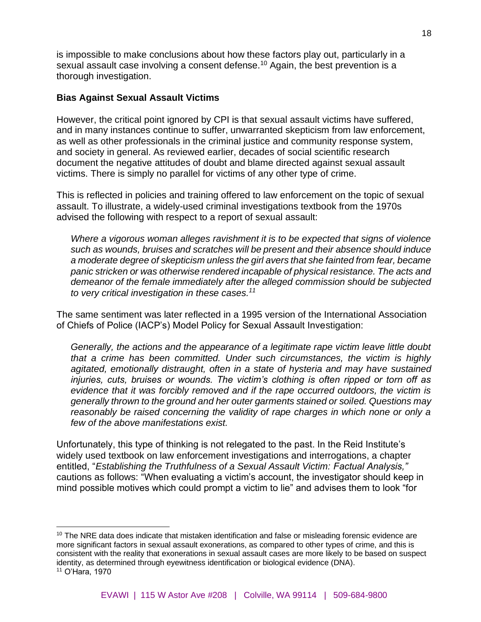is impossible to make conclusions about how these factors play out, particularly in a sexual assault case involving a consent defense.<sup>10</sup> Again, the best prevention is a thorough investigation.

### **Bias Against Sexual Assault Victims**

However, the critical point ignored by CPI is that sexual assault victims have suffered, and in many instances continue to suffer, unwarranted skepticism from law enforcement, as well as other professionals in the criminal justice and community response system, and society in general. As reviewed earlier, decades of social scientific research document the negative attitudes of doubt and blame directed against sexual assault victims. There is simply no parallel for victims of any other type of crime.

This is reflected in policies and training offered to law enforcement on the topic of sexual assault. To illustrate, a widely-used criminal investigations textbook from the 1970s advised the following with respect to a report of sexual assault:

*Where a vigorous woman alleges ravishment it is to be expected that signs of violence such as wounds, bruises and scratches will be present and their absence should induce a moderate degree of skepticism unless the girl avers that she fainted from fear, became panic stricken or was otherwise rendered incapable of physical resistance. The acts and demeanor of the female immediately after the alleged commission should be subjected to very critical investigation in these cases.<sup>11</sup>*

The same sentiment was later reflected in a 1995 version of the International Association of Chiefs of Police (IACP's) Model Policy for Sexual Assault Investigation:

*Generally, the actions and the appearance of a legitimate rape victim leave little doubt that a crime has been committed. Under such circumstances, the victim is highly agitated, emotionally distraught, often in a state of hysteria and may have sustained injuries, cuts, bruises or wounds. The victim's clothing is often ripped or torn off as evidence that it was forcibly removed and if the rape occurred outdoors, the victim is generally thrown to the ground and her outer garments stained or soiled. Questions may reasonably be raised concerning the validity of rape charges in which none or only a few of the above manifestations exist.*

Unfortunately, this type of thinking is not relegated to the past. In the Reid Institute's widely used textbook on law enforcement investigations and interrogations, a chapter entitled, "*Establishing the Truthfulness of a Sexual Assault Victim: Factual Analysis,"*  cautions as follows: "When evaluating a victim's account, the investigator should keep in mind possible motives which could prompt a victim to lie" and advises them to look "for

<sup>&</sup>lt;sup>10</sup> The NRE data does indicate that mistaken identification and false or misleading forensic evidence are more significant factors in sexual assault exonerations, as compared to other types of crime, and this is consistent with the reality that exonerations in sexual assault cases are more likely to be based on suspect identity, as determined through eyewitness identification or biological evidence (DNA). <sup>11</sup> O'Hara, 1970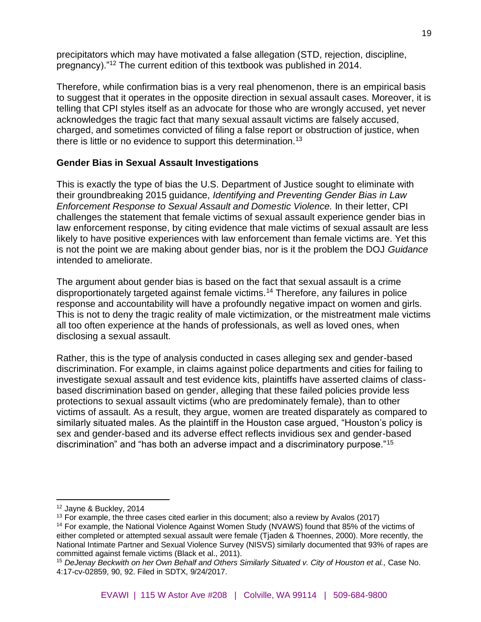precipitators which may have motivated a false allegation (STD, rejection, discipline, pregnancy)."<sup>12</sup> The current edition of this textbook was published in 2014.

Therefore, while confirmation bias is a very real phenomenon, there is an empirical basis to suggest that it operates in the opposite direction in sexual assault cases. Moreover, it is telling that CPI styles itself as an advocate for those who are wrongly accused, yet never acknowledges the tragic fact that many sexual assault victims are falsely accused, charged, and sometimes convicted of filing a false report or obstruction of justice, when there is little or no evidence to support this determination.<sup>13</sup>

### **Gender Bias in Sexual Assault Investigations**

This is exactly the type of bias the U.S. Department of Justice sought to eliminate with their groundbreaking 2015 guidance, *Identifying and Preventing Gender Bias in Law Enforcement Response to Sexual Assault and Domestic Violence.* In their letter, CPI challenges the statement that female victims of sexual assault experience gender bias in law enforcement response, by citing evidence that male victims of sexual assault are less likely to have positive experiences with law enforcement than female victims are. Yet this is not the point we are making about gender bias, nor is it the problem the DOJ *Guidance* intended to ameliorate.

The argument about gender bias is based on the fact that sexual assault is a crime disproportionately targeted against female victims.<sup>14</sup> Therefore, any failures in police response and accountability will have a profoundly negative impact on women and girls. This is not to deny the tragic reality of male victimization, or the mistreatment male victims all too often experience at the hands of professionals, as well as loved ones, when disclosing a sexual assault.

Rather, this is the type of analysis conducted in cases alleging sex and gender-based discrimination. For example, in claims against police departments and cities for failing to investigate sexual assault and test evidence kits, plaintiffs have asserted claims of classbased discrimination based on gender, alleging that these failed policies provide less protections to sexual assault victims (who are predominately female), than to other victims of assault. As a result, they argue, women are treated disparately as compared to similarly situated males. As the plaintiff in the Houston case argued, "Houston's policy is sex and gender-based and its adverse effect reflects invidious sex and gender-based discrimination" and "has both an adverse impact and a discriminatory purpose."<sup>15</sup>

<sup>12</sup> Jayne & Buckley, 2014

 $13$  For example, the three cases cited earlier in this document; also a review by Avalos (2017)

<sup>&</sup>lt;sup>14</sup> For example, the National Violence Against Women Study (NVAWS) found that 85% of the victims of either completed or attempted sexual assault were female (Tjaden & Thoennes, 2000). More recently, the National Intimate Partner and Sexual Violence Survey (NISVS) similarly documented that 93% of rapes are committed against female victims (Black et al., 2011).

<sup>15</sup> *DeJenay Beckwith on her Own Behalf and Others Similarly Situated v. City of Houston et al.,* Case No. 4:17-cv-02859, 90, 92. Filed in SDTX, 9/24/2017.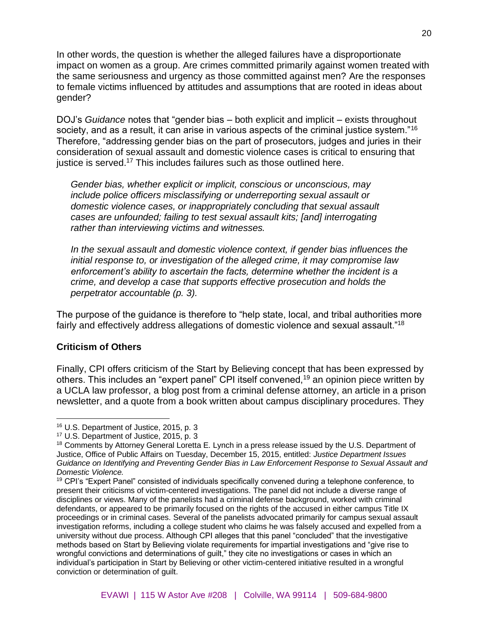In other words, the question is whether the alleged failures have a disproportionate impact on women as a group. Are crimes committed primarily against women treated with the same seriousness and urgency as those committed against men? Are the responses to female victims influenced by attitudes and assumptions that are rooted in ideas about gender?

DOJ's *Guidance* notes that "gender bias – both explicit and implicit – exists throughout society, and as a result, it can arise in various aspects of the criminal justice system."<sup>16</sup> Therefore, "addressing gender bias on the part of prosecutors, judges and juries in their consideration of sexual assault and domestic violence cases is critical to ensuring that justice is served.<sup>17</sup> This includes failures such as those outlined here.

*Gender bias, whether explicit or implicit, conscious or unconscious, may include police officers misclassifying or underreporting sexual assault or domestic violence cases, or inappropriately concluding that sexual assault cases are unfounded; failing to test sexual assault kits; [and] interrogating rather than interviewing victims and witnesses.*

*In the sexual assault and domestic violence context, if gender bias influences the initial response to, or investigation of the alleged crime, it may compromise law enforcement's ability to ascertain the facts, determine whether the incident is a crime, and develop a case that supports effective prosecution and holds the perpetrator accountable (p. 3).*

The purpose of the guidance is therefore to "help state, local, and tribal authorities more fairly and effectively address allegations of domestic violence and sexual assault."<sup>18</sup>

#### **Criticism of Others**

Finally, CPI offers criticism of the Start by Believing concept that has been expressed by others. This includes an "expert panel" CPI itself convened,<sup>19</sup> an opinion piece written by a UCLA law professor, a blog post from a criminal defense attorney, an article in a prison newsletter, and a quote from a book written about campus disciplinary procedures. They

<sup>16</sup> U.S. Department of Justice, 2015, p. 3

<sup>17</sup> U.S. Department of Justice, 2015, p. 3

<sup>&</sup>lt;sup>18</sup> Comments by Attorney General Loretta E. Lynch in a press release issued by the U.S. Department of Justice, Office of Public Affairs on Tuesday, December 15, 2015, entitled: *Justice Department Issues Guidance on Identifying and Preventing Gender Bias in Law Enforcement Response to Sexual Assault and Domestic Violence.*

<sup>&</sup>lt;sup>19</sup> CPI's "Expert Panel" consisted of individuals specifically convened during a telephone conference, to present their criticisms of victim-centered investigations. The panel did not include a diverse range of disciplines or views. Many of the panelists had a criminal defense background, worked with criminal defendants, or appeared to be primarily focused on the rights of the accused in either campus Title IX proceedings or in criminal cases. Several of the panelists advocated primarily for campus sexual assault investigation reforms, including a college student who claims he was falsely accused and expelled from a university without due process. Although CPI alleges that this panel "concluded" that the investigative methods based on Start by Believing violate requirements for impartial investigations and "give rise to wrongful convictions and determinations of guilt," they cite no investigations or cases in which an individual's participation in Start by Believing or other victim-centered initiative resulted in a wrongful conviction or determination of guilt.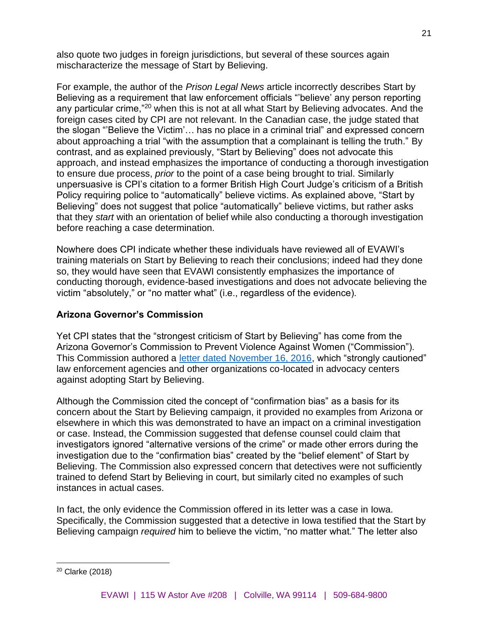also quote two judges in foreign jurisdictions, but several of these sources again mischaracterize the message of Start by Believing.

For example, the author of the *Prison Legal News* article incorrectly describes Start by Believing as a requirement that law enforcement officials "'believe' any person reporting any particular crime,"<sup>20</sup> when this is not at all what Start by Believing advocates. And the foreign cases cited by CPI are not relevant. In the Canadian case, the judge stated that the slogan "'Believe the Victim'… has no place in a criminal trial" and expressed concern about approaching a trial "with the assumption that a complainant is telling the truth." By contrast, and as explained previously, "Start by Believing" does not advocate this approach, and instead emphasizes the importance of conducting a thorough investigation to ensure due process, *prior* to the point of a case being brought to trial. Similarly unpersuasive is CPI's citation to a former British High Court Judge's criticism of a British Policy requiring police to "automatically" believe victims. As explained above, "Start by Believing" does not suggest that police "automatically" believe victims, but rather asks that they *start* with an orientation of belief while also conducting a thorough investigation before reaching a case determination.

Nowhere does CPI indicate whether these individuals have reviewed all of EVAWI's training materials on Start by Believing to reach their conclusions; indeed had they done so, they would have seen that EVAWI consistently emphasizes the importance of conducting thorough, evidence-based investigations and does not advocate believing the victim "absolutely," or "no matter what" (i.e., regardless of the evidence).

### **Arizona Governor's Commission**

Yet CPI states that the "strongest criticism of Start by Believing" has come from the Arizona Governor's Commission to Prevent Violence Against Women ("Commission"). This Commission authored a [letter dated November 16, 2016,](https://www.evawintl.org/images/uploads/private/moak-sbb-guidance.pdf) which "strongly cautioned" law enforcement agencies and other organizations co-located in advocacy centers against adopting Start by Believing.

Although the Commission cited the concept of "confirmation bias" as a basis for its concern about the Start by Believing campaign, it provided no examples from Arizona or elsewhere in which this was demonstrated to have an impact on a criminal investigation or case. Instead, the Commission suggested that defense counsel could claim that investigators ignored "alternative versions of the crime" or made other errors during the investigation due to the "confirmation bias" created by the "belief element" of Start by Believing. The Commission also expressed concern that detectives were not sufficiently trained to defend Start by Believing in court, but similarly cited no examples of such instances in actual cases.

In fact, the only evidence the Commission offered in its letter was a case in Iowa. Specifically, the Commission suggested that a detective in Iowa testified that the Start by Believing campaign *required* him to believe the victim, "no matter what." The letter also

<sup>20</sup> Clarke (2018)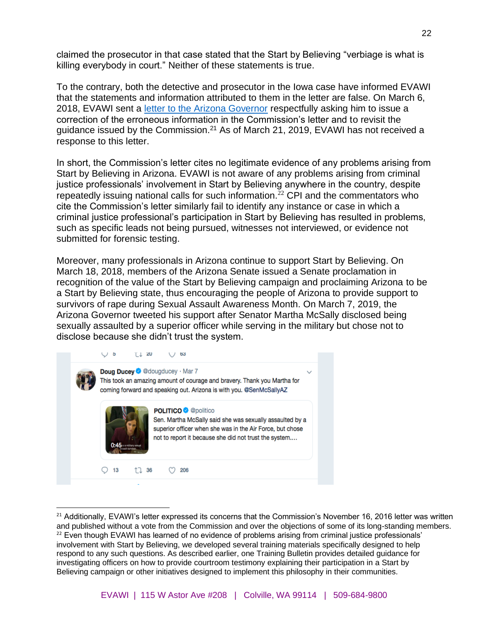claimed the prosecutor in that case stated that the Start by Believing "verbiage is what is killing everybody in court." Neither of these statements is true.

To the contrary, both the detective and prosecutor in the Iowa case have informed EVAWI that the statements and information attributed to them in the letter are false. On March 6, 2018, EVAWI sent a [letter to the Arizona Governor](http://www.evawintl.org/images/uploads/private/AZ%20Governor%20Letter%2003.06.18%20FINAL.pdf) respectfully asking him to issue a correction of the erroneous information in the Commission's letter and to revisit the guidance issued by the Commission.<sup>21</sup> As of March 21, 2019, EVAWI has not received a response to this letter.

In short, the Commission's letter cites no legitimate evidence of any problems arising from Start by Believing in Arizona. EVAWI is not aware of any problems arising from criminal justice professionals' involvement in Start by Believing anywhere in the country, despite repeatedly issuing national calls for such information.<sup> $22$ </sup> CPI and the commentators who cite the Commission's letter similarly fail to identify any instance or case in which a criminal justice professional's participation in Start by Believing has resulted in problems, such as specific leads not being pursued, witnesses not interviewed, or evidence not submitted for forensic testing.

Moreover, many professionals in Arizona continue to support Start by Believing. On March 18, 2018, members of the Arizona Senate issued a Senate proclamation in recognition of the value of the Start by Believing campaign and proclaiming Arizona to be a Start by Believing state, thus encouraging the people of Arizona to provide support to survivors of rape during Sexual Assault Awareness Month. On March 7, 2019, the Arizona Governor tweeted his support after Senator Martha McSally disclosed being sexually assaulted by a superior officer while serving in the military but chose not to disclose because she didn't trust the system.



<sup>&</sup>lt;sup>21</sup> Additionally, EVAWI's letter expressed its concerns that the Commission's November 16, 2016 letter was written and published without a vote from the Commission and over the objections of some of its long-standing members. <sup>22</sup> Even though EVAWI has learned of no evidence of problems arising from criminal justice professionals' involvement with Start by Believing, we developed several training materials specifically designed to help respond to any such questions. As described earlier, one Training Bulletin provides detailed guidance for investigating officers on how to provide courtroom testimony explaining their participation in a Start by Believing campaign or other initiatives designed to implement this philosophy in their communities.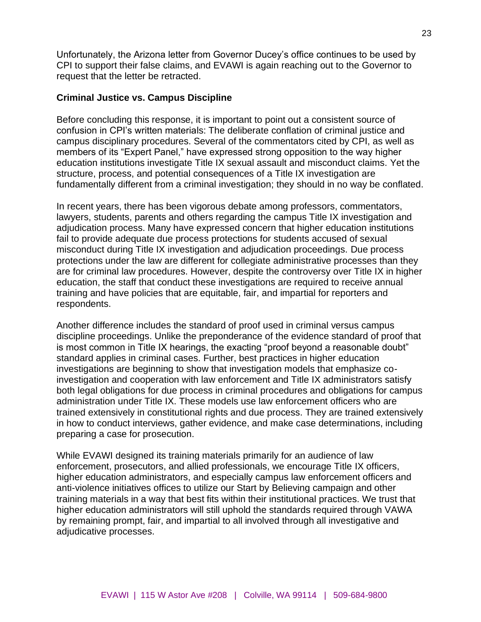Unfortunately, the Arizona letter from Governor Ducey's office continues to be used by CPI to support their false claims, and EVAWI is again reaching out to the Governor to request that the letter be retracted.

#### **Criminal Justice vs. Campus Discipline**

Before concluding this response, it is important to point out a consistent source of confusion in CPI's written materials: The deliberate conflation of criminal justice and campus disciplinary procedures. Several of the commentators cited by CPI, as well as members of its "Expert Panel," have expressed strong opposition to the way higher education institutions investigate Title IX sexual assault and misconduct claims. Yet the structure, process, and potential consequences of a Title IX investigation are fundamentally different from a criminal investigation; they should in no way be conflated.

In recent years, there has been vigorous debate among professors, commentators, lawyers, students, parents and others regarding the campus Title IX investigation and adjudication process. Many have expressed concern that higher education institutions fail to provide adequate due process protections for students accused of sexual misconduct during Title IX investigation and adjudication proceedings. Due process protections under the law are different for collegiate administrative processes than they are for criminal law procedures. However, despite the controversy over Title IX in higher education, the staff that conduct these investigations are required to receive annual training and have policies that are equitable, fair, and impartial for reporters and respondents.

Another difference includes the standard of proof used in criminal versus campus discipline proceedings. Unlike the preponderance of the evidence standard of proof that is most common in Title IX hearings, the exacting "proof beyond a reasonable doubt" standard applies in criminal cases. Further, best practices in higher education investigations are beginning to show that investigation models that emphasize coinvestigation and cooperation with law enforcement and Title IX administrators satisfy both legal obligations for due process in criminal procedures and obligations for campus administration under Title IX. These models use law enforcement officers who are trained extensively in constitutional rights and due process. They are trained extensively in how to conduct interviews, gather evidence, and make case determinations, including preparing a case for prosecution.

While EVAWI designed its training materials primarily for an audience of law enforcement, prosecutors, and allied professionals, we encourage Title IX officers, higher education administrators, and especially campus law enforcement officers and anti-violence initiatives offices to utilize our Start by Believing campaign and other training materials in a way that best fits within their institutional practices. We trust that higher education administrators will still uphold the standards required through VAWA by remaining prompt, fair, and impartial to all involved through all investigative and adjudicative processes.